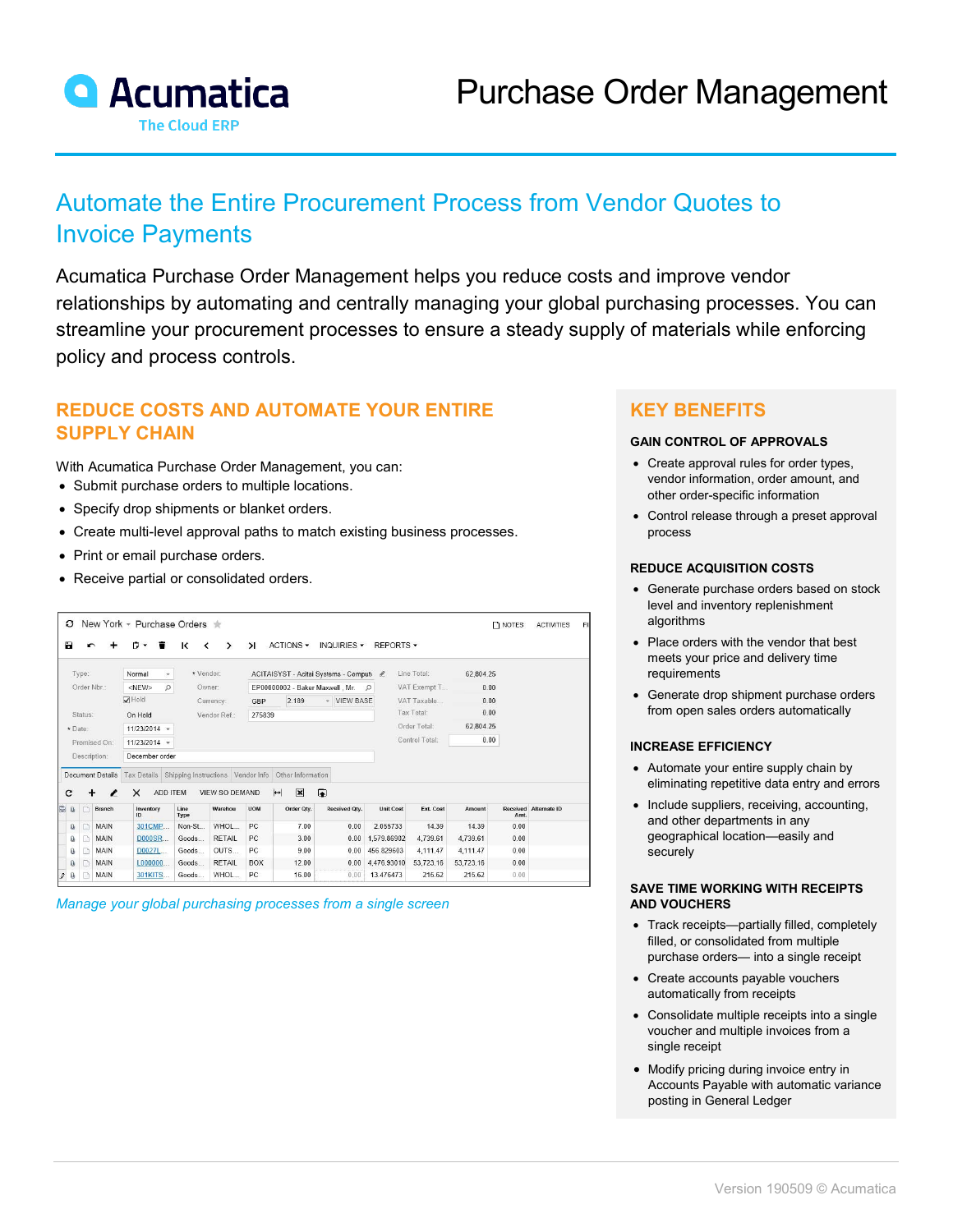

# Automate the Entire Procurement Process from Vendor Quotes to Invoice Payments

Acumatica Purchase Order Management helps you reduce costs and improve vendor relationships by automating and centrally managing your global purchasing processes. You can streamline your procurement processes to ensure a steady supply of materials while enforcing policy and process controls.

# **REDUCE COSTS AND AUTOMATE YOUR ENTIRE SUPPLY CHAIN**

With Acumatica Purchase Order Management, you can:

- Submit purchase orders to multiple locations.
- Specify drop shipments or blanket orders.
- Create multi-level approval paths to match existing business processes.
- Print or email purchase orders.
- Receive partial or consolidated orders.

| New York - Purchase Orders<br>з |         |                         |                                               |                               |                       |                                             |                                                         |               |                  |                |           | $\n  NOTES\n$ | <b>ACTIVITIES</b>     |  |
|---------------------------------|---------|-------------------------|-----------------------------------------------|-------------------------------|-----------------------|---------------------------------------------|---------------------------------------------------------|---------------|------------------|----------------|-----------|---------------|-----------------------|--|
| Ы                               |         |                         | n<br>盲<br>$\cdot$                             | к<br>$\overline{\phantom{a}}$ | >                     | $\lambda$                                   | ACTIONS -                                               | INQUIRIES -   | REPORTS -        |                |           |               |                       |  |
| Type:                           |         |                         | Normal                                        | * Vendor:                     |                       |                                             | ACITAISYST - Acitai Systems - Compute                   |               |                  | Line Total:    | 62.804.25 |               |                       |  |
|                                 |         | Order Nbr.:             | $<$ NEW><br>$\mathcal{Q}$                     |                               | Owner:                | EP00000002 - Baker Maxwell, Mr.<br>$\Omega$ |                                                         |               |                  | VAT Exempt T   | 0.00      |               |                       |  |
|                                 |         |                         | $\nabla$ Hold                                 |                               |                       | GBP<br>Currency:                            |                                                         | - VIEW BASE   |                  | VAT Taxable    | 0.00      |               |                       |  |
| Status:                         |         |                         | On Hold                                       | Vendor Ref:                   |                       | 275839                                      |                                                         |               |                  | Tax Total:     |           | 0.00          |                       |  |
|                                 | * Date: |                         | $11/23/2014$ -                                |                               |                       |                                             |                                                         |               |                  | Order Total:   |           | 62,804.25     |                       |  |
|                                 |         | Promised On:            | $11/23/2014$ -                                |                               |                       |                                             |                                                         |               |                  | Control Total: | 0.00      |               |                       |  |
|                                 |         | Description:            | December order                                |                               |                       |                                             |                                                         |               |                  |                |           |               |                       |  |
|                                 |         | <b>Document Details</b> | Tax Details Shipping Instructions Vendor Info |                               |                       |                                             | Other Information                                       |               |                  |                |           |               |                       |  |
| с                               |         | I                       | $\times$<br>ADD ITEM                          |                               | <b>VIEW SO DEMAND</b> |                                             | $\mathbf{\overline{x}}$<br>$\left  \rightarrow \right $ | $\bullet$     |                  |                |           |               |                       |  |
| <b>B</b> 0                      | n       | Branch                  | Inventory<br>ID                               | Line<br>Type                  | Warehou               | <b>UOM</b>                                  | Order Qty.                                              | Received Otv. | <b>Unit Cost</b> | Ext. Cost      | Amount    | Amt.          | Received Alternate ID |  |
| $\mathbf{0}$                    | $\Box$  | <b>MAIN</b>             | 301CMP                                        | Non-St                        | WHOL                  | PC.                                         | 7.00                                                    | 0.00          | 2 055733         | 14.39          | 14.39     | 0.00          |                       |  |
| Ū.                              | $\Box$  | <b>MAIN</b>             | D000SR                                        | Goods                         | <b>RETAIL</b>         | PC                                          | 3.00                                                    | 0.00          | 1,579,86902      | 4,739.61       | 4.739.61  | 0.00          |                       |  |
| Ū.                              | $\Box$  | MAIN                    | D0027L                                        | Goods                         | OUTS                  | PC.                                         | 9.00                                                    | 0.00          | 456.829603       | 4.111.47       | 4.111.47  | 0.00          |                       |  |
| <b>D</b>                        | $\Box$  | MAIN                    | L000000                                       | Goods                         | <b>RETAIL</b>         | <b>BOX</b>                                  | 12.00                                                   | 0.00          | 4.476.93010      | 53,723.16      | 53,723.16 | 0.00          |                       |  |
| ù<br>10                         | D       | MAIN                    | 301KITS                                       | Goods                         | WHOL                  | PC.                                         | 16.00                                                   | 0.00          | 13.476473        | 215.62         | 215.62    | 0.00          |                       |  |

*Manage your global purchasing processes from a single screen*

# **KEY BENEFITS**

#### **GAIN CONTROL OF APPROVALS**

- Create approval rules for order types, vendor information, order amount, and other order-specific information
- Control release through a preset approval process

#### **REDUCE ACQUISITION COSTS**

- Generate purchase orders based on stock level and inventory replenishment algorithms
- Place orders with the vendor that best meets your price and delivery time requirements
- Generate drop shipment purchase orders from open sales orders automatically

#### **INCREASE EFFICIENCY**

- Automate your entire supply chain by eliminating repetitive data entry and errors
- Include suppliers, receiving, accounting, and other departments in any geographical location—easily and securely

#### **SAVE TIME WORKING WITH RECEIPTS AND VOUCHERS**

- Track receipts—partially filled, completely filled, or consolidated from multiple purchase orders— into a single receipt
- Create accounts payable vouchers automatically from receipts
- Consolidate multiple receipts into a single voucher and multiple invoices from a single receipt
- Modify pricing during invoice entry in Accounts Payable with automatic variance posting in General Ledger